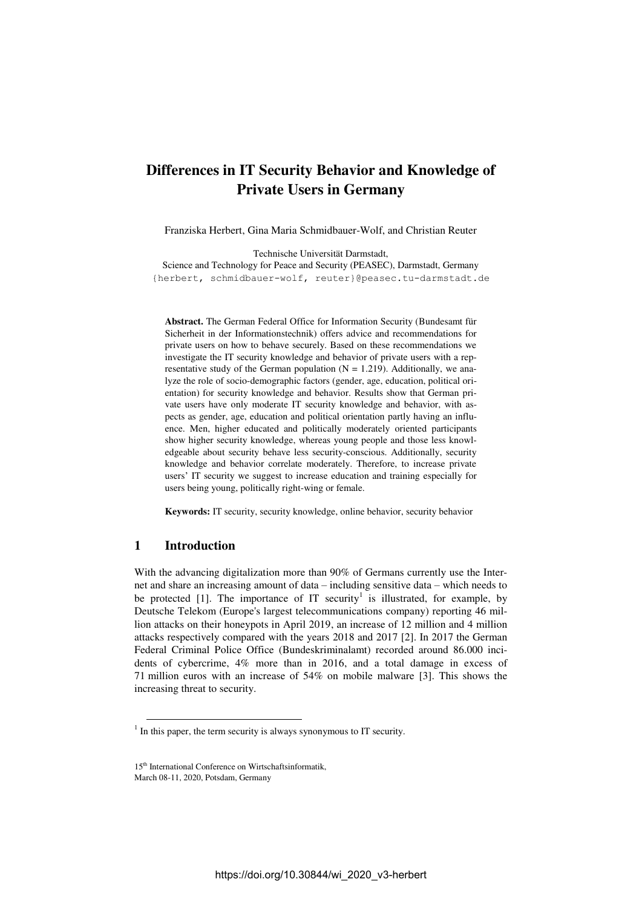# **Differences in IT Security Behavior and Knowledge of Private Users in Germany**

Franziska Herbert, Gina Maria Schmidbauer-Wolf, and Christian Reuter

Technische Universität Darmstadt,

Science and Technology for Peace and Security (PEASEC), Darmstadt, Germany {herbert, schmidbauer-wolf, reuter}@peasec.tu-darmstadt.de

**Abstract.** The German Federal Office for Information Security (Bundesamt für Sicherheit in der Informationstechnik) offers advice and recommendations for private users on how to behave securely. Based on these recommendations we investigate the IT security knowledge and behavior of private users with a representative study of the German population  $(N = 1.219)$ . Additionally, we analyze the role of socio-demographic factors (gender, age, education, political orientation) for security knowledge and behavior. Results show that German private users have only moderate IT security knowledge and behavior, with aspects as gender, age, education and political orientation partly having an influence. Men, higher educated and politically moderately oriented participants show higher security knowledge, whereas young people and those less knowledgeable about security behave less security-conscious. Additionally, security knowledge and behavior correlate moderately. Therefore, to increase private users' IT security we suggest to increase education and training especially for users being young, politically right-wing or female.

**Keywords:** IT security, security knowledge, online behavior, security behavior

## **1 Introduction**

With the advancing digitalization more than 90% of Germans currently use the Internet and share an increasing amount of data – including sensitive data – which needs to be protected [1]. The importance of IT security<sup>1</sup> is illustrated, for example, by Deutsche Telekom (Europe's largest telecommunications company) reporting 46 million attacks on their honeypots in April 2019, an increase of 12 million and 4 million attacks respectively compared with the years 2018 and 2017 [2]. In 2017 the German Federal Criminal Police Office (Bundeskriminalamt) recorded around 86.000 incidents of cybercrime, 4% more than in 2016, and a total damage in excess of 71 million euros with an increase of 54% on mobile malware [3]. This shows the increasing threat to security.

<sup>&</sup>lt;sup>1</sup> In this paper, the term security is always synonymous to IT security.

<sup>15</sup>th International Conference on Wirtschaftsinformatik,

March 08-11, 2020, Potsdam, Germany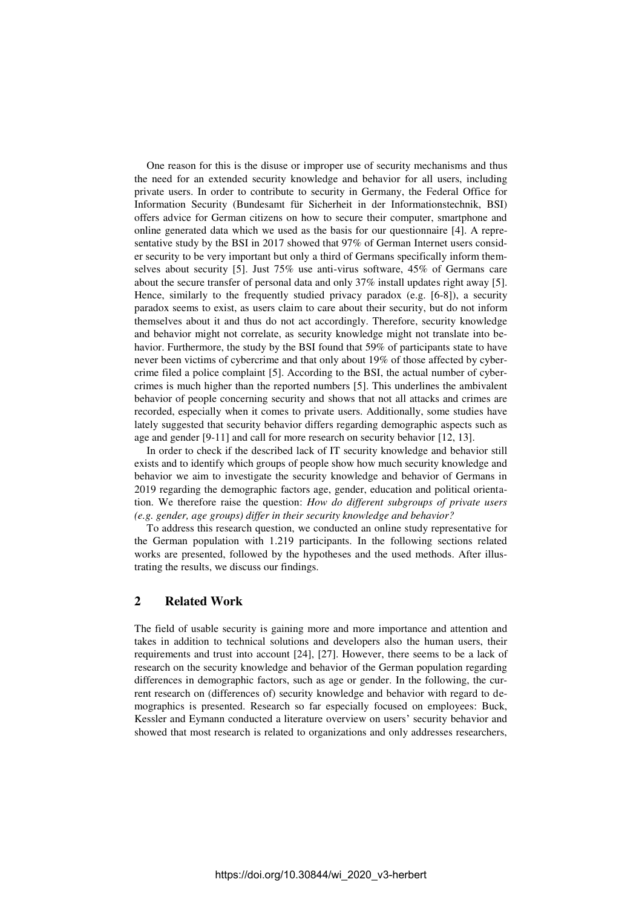One reason for this is the disuse or improper use of security mechanisms and thus the need for an extended security knowledge and behavior for all users, including private users. In order to contribute to security in Germany, the Federal Office for Information Security (Bundesamt für Sicherheit in der Informationstechnik, BSI) offers advice for German citizens on how to secure their computer, smartphone and online generated data which we used as the basis for our questionnaire [4]. A representative study by the BSI in 2017 showed that 97% of German Internet users consider security to be very important but only a third of Germans specifically inform themselves about security [5]. Just 75% use anti-virus software, 45% of Germans care about the secure transfer of personal data and only 37% install updates right away [5]. Hence, similarly to the frequently studied privacy paradox (e.g. [6-8]), a security paradox seems to exist, as users claim to care about their security, but do not inform themselves about it and thus do not act accordingly. Therefore, security knowledge and behavior might not correlate, as security knowledge might not translate into behavior. Furthermore, the study by the BSI found that 59% of participants state to have never been victims of cybercrime and that only about 19% of those affected by cybercrime filed a police complaint [5]. According to the BSI, the actual number of cybercrimes is much higher than the reported numbers [5]. This underlines the ambivalent behavior of people concerning security and shows that not all attacks and crimes are recorded, especially when it comes to private users. Additionally, some studies have lately suggested that security behavior differs regarding demographic aspects such as age and gender [9-11] and call for more research on security behavior [12, 13].

In order to check if the described lack of IT security knowledge and behavior still exists and to identify which groups of people show how much security knowledge and behavior we aim to investigate the security knowledge and behavior of Germans in 2019 regarding the demographic factors age, gender, education and political orientation. We therefore raise the question: *How do different subgroups of private users (e.g. gender, age groups) differ in their security knowledge and behavior?*

To address this research question, we conducted an online study representative for the German population with 1.219 participants. In the following sections related works are presented, followed by the hypotheses and the used methods. After illustrating the results, we discuss our findings.

#### **2 Related Work**

The field of usable security is gaining more and more importance and attention and takes in addition to technical solutions and developers also the human users, their requirements and trust into account [24], [27]. However, there seems to be a lack of research on the security knowledge and behavior of the German population regarding differences in demographic factors, such as age or gender. In the following, the current research on (differences of) security knowledge and behavior with regard to demographics is presented. Research so far especially focused on employees: Buck, Kessler and Eymann conducted a literature overview on users' security behavior and showed that most research is related to organizations and only addresses researchers,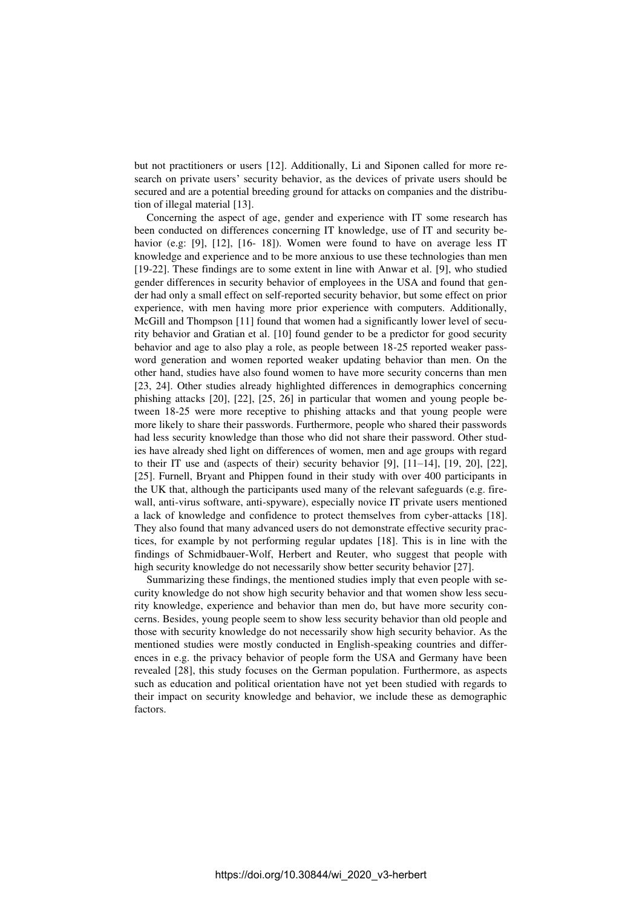but not practitioners or users [12]. Additionally, Li and Siponen called for more research on private users' security behavior, as the devices of private users should be secured and are a potential breeding ground for attacks on companies and the distribution of illegal material [13].

Concerning the aspect of age, gender and experience with IT some research has been conducted on differences concerning IT knowledge, use of IT and security behavior (e.g: [9], [12], [16-18]). Women were found to have on average less IT knowledge and experience and to be more anxious to use these technologies than men [19-22]. These findings are to some extent in line with Anwar et al. [9], who studied gender differences in security behavior of employees in the USA and found that gender had only a small effect on self-reported security behavior, but some effect on prior experience, with men having more prior experience with computers. Additionally, McGill and Thompson [11] found that women had a significantly lower level of security behavior and Gratian et al. [10] found gender to be a predictor for good security behavior and age to also play a role, as people between 18-25 reported weaker password generation and women reported weaker updating behavior than men. On the other hand, studies have also found women to have more security concerns than men [23, 24]. Other studies already highlighted differences in demographics concerning phishing attacks [20], [22], [25, 26] in particular that women and young people between 18-25 were more receptive to phishing attacks and that young people were more likely to share their passwords. Furthermore, people who shared their passwords had less security knowledge than those who did not share their password. Other studies have already shed light on differences of women, men and age groups with regard to their IT use and (aspects of their) security behavior [9], [11–14], [19, 20], [22], [25]. Furnell, Bryant and Phippen found in their study with over 400 participants in the UK that, although the participants used many of the relevant safeguards (e.g. firewall, anti-virus software, anti-spyware), especially novice IT private users mentioned a lack of knowledge and confidence to protect themselves from cyber-attacks [18]. They also found that many advanced users do not demonstrate effective security practices, for example by not performing regular updates [18]. This is in line with the findings of Schmidbauer-Wolf, Herbert and Reuter, who suggest that people with high security knowledge do not necessarily show better security behavior [27].

Summarizing these findings, the mentioned studies imply that even people with security knowledge do not show high security behavior and that women show less security knowledge, experience and behavior than men do, but have more security concerns. Besides, young people seem to show less security behavior than old people and those with security knowledge do not necessarily show high security behavior. As the mentioned studies were mostly conducted in English-speaking countries and differences in e.g. the privacy behavior of people form the USA and Germany have been revealed [28], this study focuses on the German population. Furthermore, as aspects such as education and political orientation have not yet been studied with regards to their impact on security knowledge and behavior, we include these as demographic factors.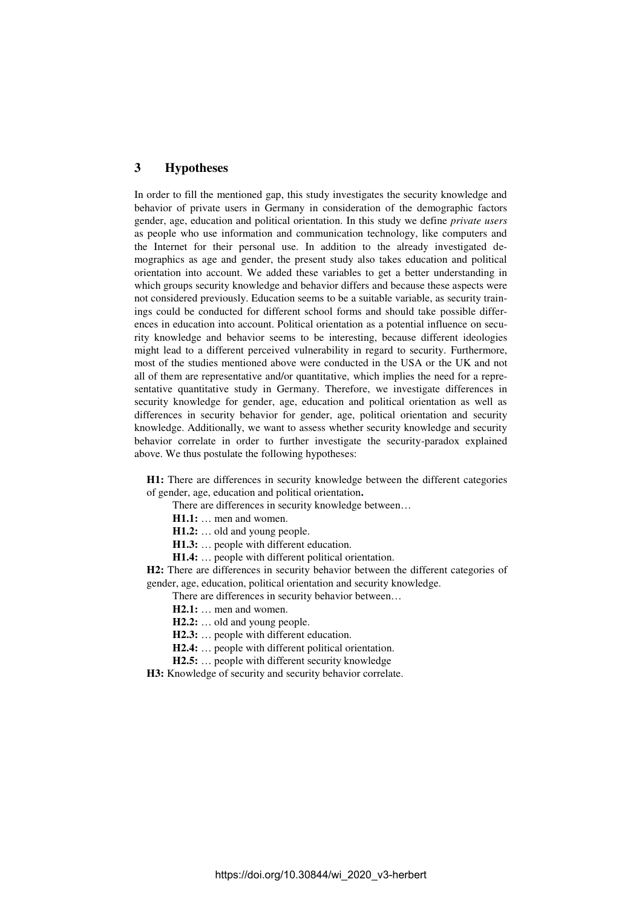## **3 Hypotheses**

In order to fill the mentioned gap, this study investigates the security knowledge and behavior of private users in Germany in consideration of the demographic factors gender, age, education and political orientation. In this study we define *private users* as people who use information and communication technology, like computers and the Internet for their personal use. In addition to the already investigated demographics as age and gender, the present study also takes education and political orientation into account. We added these variables to get a better understanding in which groups security knowledge and behavior differs and because these aspects were not considered previously. Education seems to be a suitable variable, as security trainings could be conducted for different school forms and should take possible differences in education into account. Political orientation as a potential influence on security knowledge and behavior seems to be interesting, because different ideologies might lead to a different perceived vulnerability in regard to security. Furthermore, most of the studies mentioned above were conducted in the USA or the UK and not all of them are representative and/or quantitative, which implies the need for a representative quantitative study in Germany. Therefore, we investigate differences in security knowledge for gender, age, education and political orientation as well as differences in security behavior for gender, age, political orientation and security knowledge. Additionally, we want to assess whether security knowledge and security behavior correlate in order to further investigate the security-paradox explained above. We thus postulate the following hypotheses:

**H1:** There are differences in security knowledge between the different categories of gender, age, education and political orientation**.** 

There are differences in security knowledge between…

**H1.1:** … men and women.

**H1.2:** … old and young people.

**H1.3:** … people with different education.

**H1.4:** … people with different political orientation.

**H2:** There are differences in security behavior between the different categories of gender, age, education, political orientation and security knowledge.

There are differences in security behavior between…

**H2.1:** … men and women.

**H2.2:** … old and young people.

**H2.3:** … people with different education.

**H2.4:** … people with different political orientation.

**H2.5:** … people with different security knowledge

**H3:** Knowledge of security and security behavior correlate.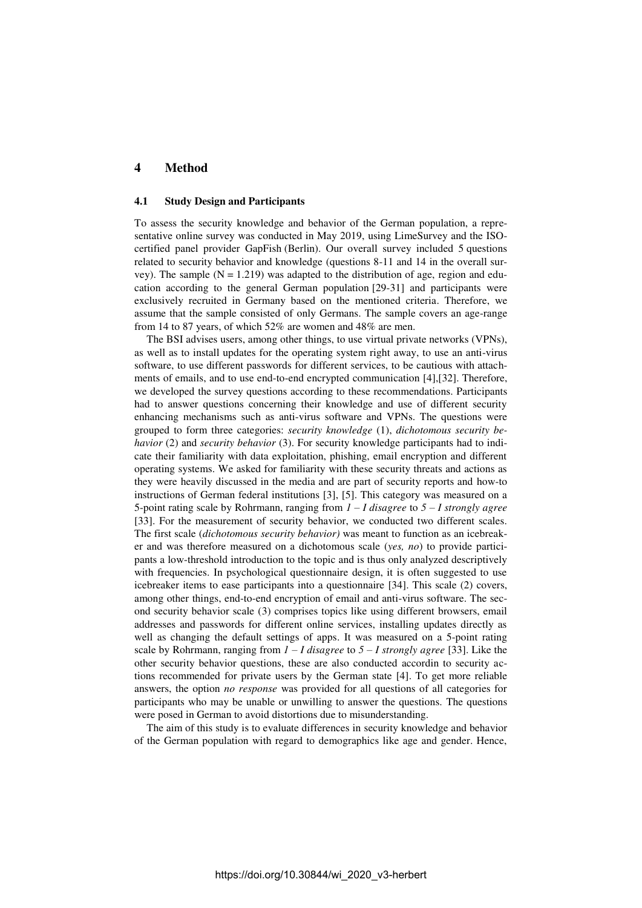## **4 Method**

#### **4.1 Study Design and Participants**

To assess the security knowledge and behavior of the German population, a representative online survey was conducted in May 2019, using LimeSurvey and the ISOcertified panel provider GapFish (Berlin). Our overall survey included 5 questions related to security behavior and knowledge (questions 8-11 and 14 in the overall survey). The sample  $(N = 1.219)$  was adapted to the distribution of age, region and education according to the general German population [29-31] and participants were exclusively recruited in Germany based on the mentioned criteria. Therefore, we assume that the sample consisted of only Germans. The sample covers an age-range from 14 to 87 years, of which 52% are women and 48% are men.

The BSI advises users, among other things, to use virtual private networks (VPNs), as well as to install updates for the operating system right away, to use an anti-virus software, to use different passwords for different services, to be cautious with attachments of emails, and to use end-to-end encrypted communication [4],[32]. Therefore, we developed the survey questions according to these recommendations. Participants had to answer questions concerning their knowledge and use of different security enhancing mechanisms such as anti-virus software and VPNs. The questions were grouped to form three categories: *security knowledge* (1), *dichotomous security behavior* (2) and *security behavior* (3). For security knowledge participants had to indicate their familiarity with data exploitation, phishing, email encryption and different operating systems. We asked for familiarity with these security threats and actions as they were heavily discussed in the media and are part of security reports and how-to instructions of German federal institutions [3], [5]. This category was measured on a 5-point rating scale by Rohrmann, ranging from *1 – I disagree* to *5* – *I strongly agree* [33]. For the measurement of security behavior, we conducted two different scales. The first scale (*dichotomous security behavior)* was meant to function as an icebreaker and was therefore measured on a dichotomous scale (*yes, no*) to provide participants a low-threshold introduction to the topic and is thus only analyzed descriptively with frequencies. In psychological questionnaire design, it is often suggested to use icebreaker items to ease participants into a questionnaire [34]. This scale (2) covers, among other things, end-to-end encryption of email and anti-virus software. The second security behavior scale (3) comprises topics like using different browsers, email addresses and passwords for different online services, installing updates directly as well as changing the default settings of apps. It was measured on a 5-point rating scale by Rohrmann, ranging from  $1 - I$  disagree to  $5 - I$  strongly agree [33]. Like the other security behavior questions, these are also conducted accordin to security actions recommended for private users by the German state [4]. To get more reliable answers, the option *no response* was provided for all questions of all categories for participants who may be unable or unwilling to answer the questions. The questions were posed in German to avoid distortions due to misunderstanding.

The aim of this study is to evaluate differences in security knowledge and behavior of the German population with regard to demographics like age and gender. Hence,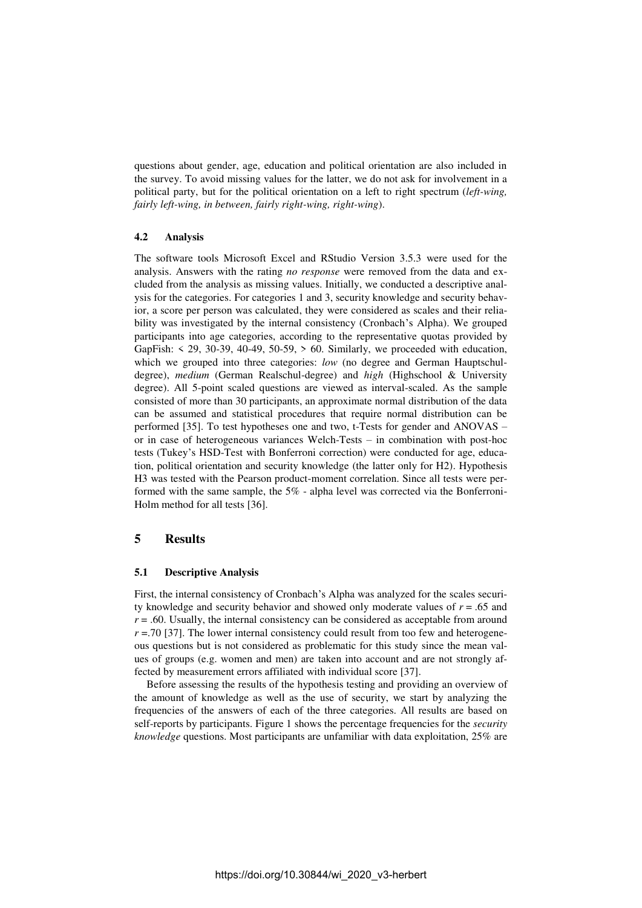questions about gender, age, education and political orientation are also included in the survey. To avoid missing values for the latter, we do not ask for involvement in a political party, but for the political orientation on a left to right spectrum (*left-wing, fairly left-wing, in between, fairly right-wing, right-wing*).

#### **4.2 Analysis**

The software tools Microsoft Excel and RStudio Version 3.5.3 were used for the analysis. Answers with the rating *no response* were removed from the data and excluded from the analysis as missing values. Initially, we conducted a descriptive analysis for the categories. For categories 1 and 3, security knowledge and security behavior, a score per person was calculated, they were considered as scales and their reliability was investigated by the internal consistency (Cronbach's Alpha). We grouped participants into age categories, according to the representative quotas provided by GapFish:  $\langle 29, 30-39, 40-49, 50-59, \rangle$  60. Similarly, we proceeded with education, which we grouped into three categories: *low* (no degree and German Hauptschuldegree), *medium* (German Realschul-degree) and *high* (Highschool & University degree). All 5-point scaled questions are viewed as interval-scaled. As the sample consisted of more than 30 participants, an approximate normal distribution of the data can be assumed and statistical procedures that require normal distribution can be performed [35]. To test hypotheses one and two, t-Tests for gender and ANOVAS – or in case of heterogeneous variances Welch-Tests – in combination with post-hoc tests (Tukey's HSD-Test with Bonferroni correction) were conducted for age, education, political orientation and security knowledge (the latter only for H2). Hypothesis H3 was tested with the Pearson product-moment correlation. Since all tests were performed with the same sample, the 5% - alpha level was corrected via the Bonferroni-Holm method for all tests [36].

#### **5 Results**

#### **5.1 Descriptive Analysis**

First, the internal consistency of Cronbach's Alpha was analyzed for the scales security knowledge and security behavior and showed only moderate values of  $r = .65$  and  $r = .60$ . Usually, the internal consistency can be considered as acceptable from around  $r = 70$  [37]. The lower internal consistency could result from too few and heterogeneous questions but is not considered as problematic for this study since the mean values of groups (e.g. women and men) are taken into account and are not strongly affected by measurement errors affiliated with individual score [37].

Before assessing the results of the hypothesis testing and providing an overview of the amount of knowledge as well as the use of security, we start by analyzing the frequencies of the answers of each of the three categories. All results are based on self-reports by participants. [Figure 1](#page-6-0) shows the percentage frequencies for the *security knowledge* questions. Most participants are unfamiliar with data exploitation, 25% are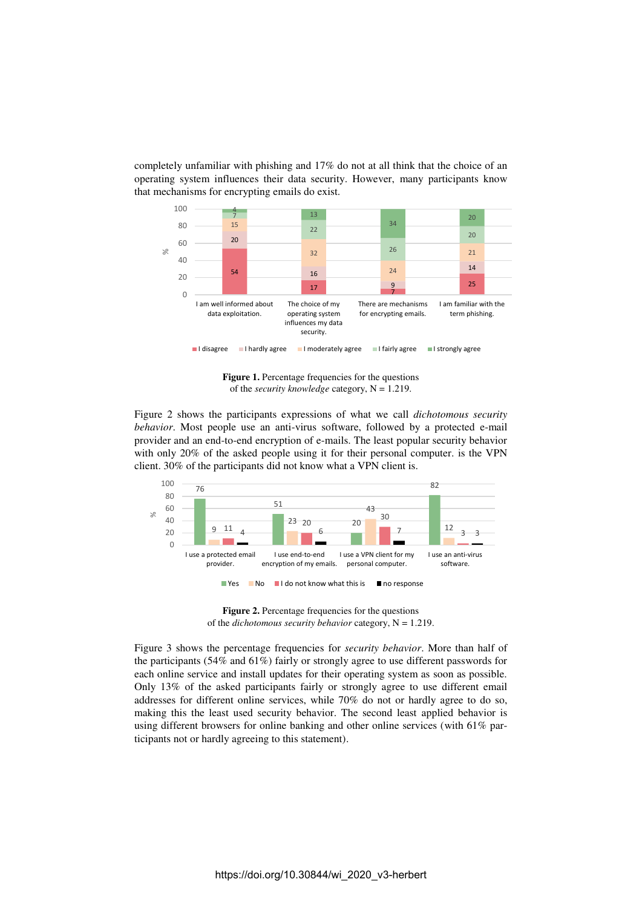completely unfamiliar with phishing and 17% do not at all think that the choice of an operating system influences their data security. However, many participants know that mechanisms for encrypting emails do exist.



**Figure 1.** Percentage frequencies for the questions of the *security knowledge* category, N = 1.219.

<span id="page-6-0"></span>[Figure 2](#page-6-1) shows the participants expressions of what we call *dichotomous security behavior*. Most people use an anti-virus software, followed by a protected e-mail provider and an end-to-end encryption of e-mails. The least popular security behavior with only 20% of the asked people using it for their personal computer. is the VPN client. 30% of the participants did not know what a VPN client is.



**Figure 2.** Percentage frequencies for the questions of the *dichotomous security behavior* category, N = 1.219.

<span id="page-6-1"></span>[Figure 3](#page-7-0) shows the percentage frequencies for *security behavior*. More than half of the participants (54% and 61%) fairly or strongly agree to use different passwords for each online service and install updates for their operating system as soon as possible. Only 13% of the asked participants fairly or strongly agree to use different email addresses for different online services, while 70% do not or hardly agree to do so, making this the least used security behavior. The second least applied behavior is using different browsers for online banking and other online services (with 61% participants not or hardly agreeing to this statement).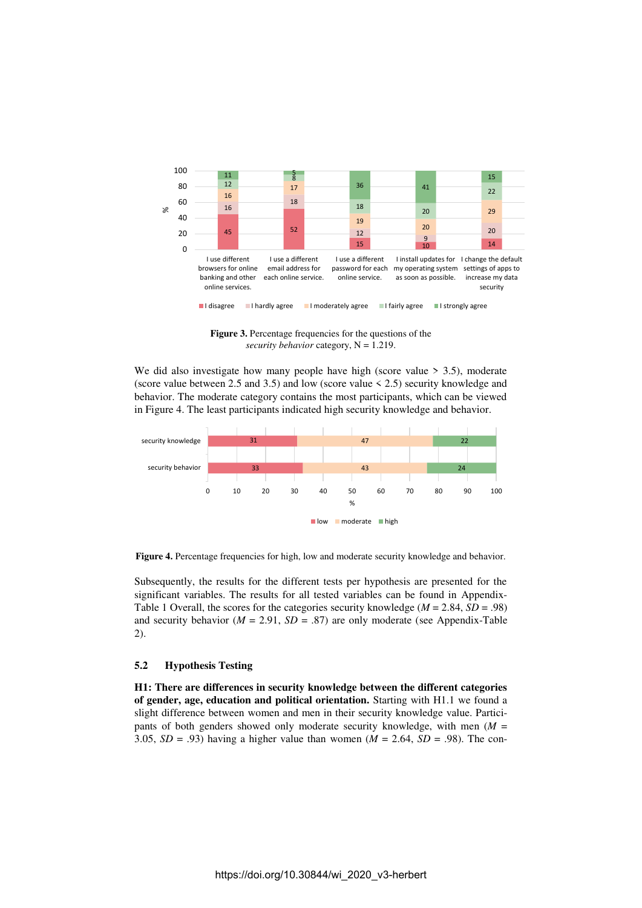

**Figure 3.** Percentage frequencies for the questions of the *security behavior* category, N = 1.219.

<span id="page-7-0"></span>We did also investigate how many people have high (score value > 3.5), moderate (score value between 2.5 and 3.5) and low (score value < 2.5) security knowledge and behavior. The moderate category contains the most participants, which can be viewed in [Figure 4.](#page-7-1) The least participants indicated high security knowledge and behavior.



<span id="page-7-1"></span>Figure 4. Percentage frequencies for high, low and moderate security knowledge and behavior.

Subsequently, the results for the different tests per hypothesis are presented for the significant variables. The results for all tested variables can be found in Appendix-Table 1 Overall, the scores for the categories security knowledge (*M* = 2.84, *SD* = .98) and security behavior ( $M = 2.91$ ,  $SD = .87$ ) are only moderate (see Appendix-Table 2).

#### **5.2 Hypothesis Testing**

**H1: There are differences in security knowledge between the different categories of gender, age, education and political orientation.** Starting with H1.1 we found a slight difference between women and men in their security knowledge value. Participants of both genders showed only moderate security knowledge, with men  $(M =$ 3.05,  $SD = .93$ ) having a higher value than women ( $M = 2.64$ ,  $SD = .98$ ). The con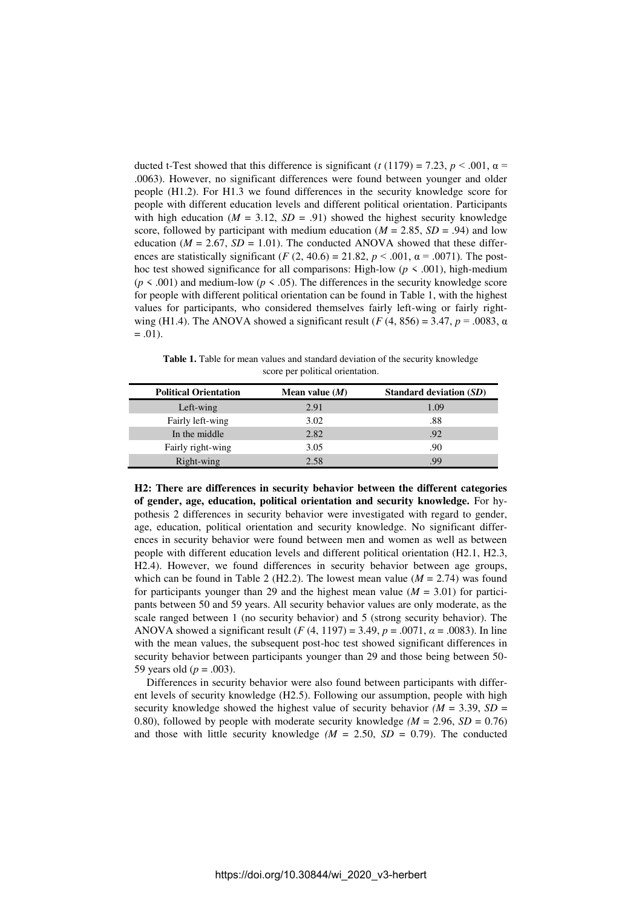ducted t-Test showed that this difference is significant ( $t$  (1179) = 7.23,  $p < .001$ ,  $\alpha$  = .0063). However, no significant differences were found between younger and older people (H1.2). For H1.3 we found differences in the security knowledge score for people with different education levels and different political orientation. Participants with high education ( $M = 3.12$ ,  $SD = .91$ ) showed the highest security knowledge score, followed by participant with medium education ( $M = 2.85$ ,  $SD = .94$ ) and low education ( $M = 2.67$ ,  $SD = 1.01$ ). The conducted ANOVA showed that these differences are statistically significant ( $F(2, 40.6) = 21.82$ ,  $p < .001$ ,  $\alpha = .0071$ ). The posthoc test showed significance for all comparisons: High-low (*p* < .001), high-medium  $(p \le 0.001)$  and medium-low  $(p \le 0.05)$ . The differences in the security knowledge score for people with different political orientation can be found in [Table 1,](#page-8-0) with the highest values for participants, who considered themselves fairly left-wing or fairly rightwing (H1.4). The ANOVA showed a significant result (*F* (4, 856) = 3.47, *p* = .0083, α  $= .01$ ).

<span id="page-8-0"></span>**Table 1.** Table for mean values and standard deviation of the security knowledge score per political orientation.

| <b>Political Orientation</b> | Mean value $(M)$ | <b>Standard deviation (SD)</b> |
|------------------------------|------------------|--------------------------------|
| Left-wing                    | 2.91             | 1.09                           |
| Fairly left-wing             | 3.02             | .88                            |
| In the middle                | 2.82             | .92                            |
| Fairly right-wing            | 3.05             | .90                            |
| Right-wing                   | 2.58             | .99                            |

**H2: There are differences in security behavior between the different categories of gender, age, education, political orientation and security knowledge.** For hypothesis 2 differences in security behavior were investigated with regard to gender, age, education, political orientation and security knowledge. No significant differences in security behavior were found between men and women as well as between people with different education levels and different political orientation (H2.1, H2.3, H2.4). However, we found differences in security behavior between age groups, which can be found in [Table 2](#page-9-0) (H2.2). The lowest mean value ( $M = 2.74$ ) was found for participants younger than 29 and the highest mean value  $(M = 3.01)$  for participants between 50 and 59 years. All security behavior values are only moderate, as the scale ranged between 1 (no security behavior) and 5 (strong security behavior). The ANOVA showed a significant result (*F* (4, 1197) = 3.49, *p* = .0071, *α* = .0083). In line with the mean values, the subsequent post-hoc test showed significant differences in security behavior between participants younger than 29 and those being between 50- 59 years old ( $p = .003$ ).

Differences in security behavior were also found between participants with different levels of security knowledge (H2.5). Following our assumption, people with high security knowledge showed the highest value of security behavior  $(M = 3.39, SD =$ 0.80), followed by people with moderate security knowledge  $(M = 2.96, SD = 0.76)$ and those with little security knowledge  $(M = 2.50, SD = 0.79)$ . The conducted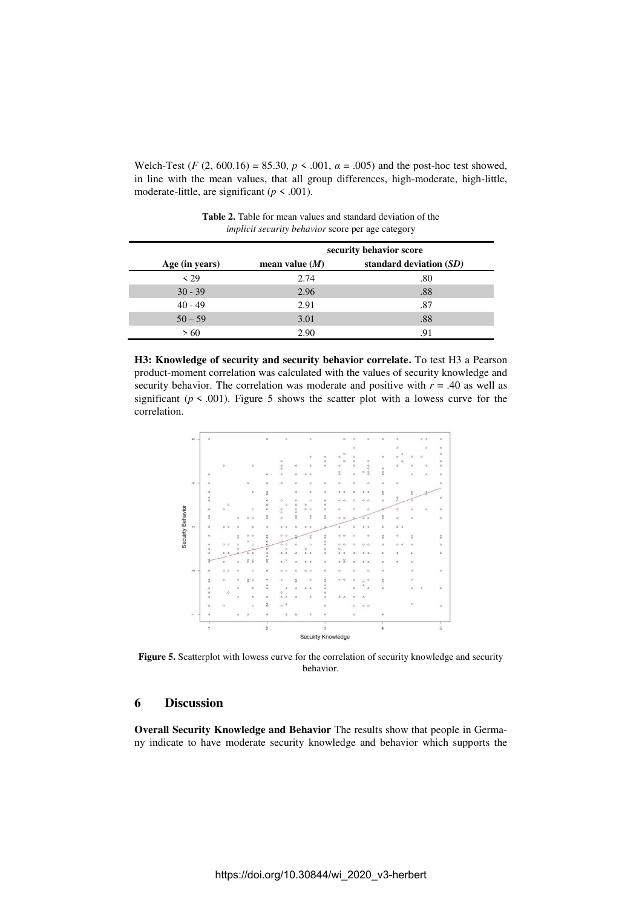<span id="page-9-0"></span>Welch-Test  $(F (2, 600.16) = 85.30, p \le 0.001, \alpha = 0.005)$  and the post-hoc test showed, in line with the mean values, that all group differences, high-moderate, high-little, moderate-little, are significant ( $p \le .001$ ).

|                | security behavior score |                         |  |
|----------------|-------------------------|-------------------------|--|
| Age (in years) | mean value $(M)$        | standard deviation (SD) |  |
| $\leq$ 29      | 2.74                    | .80                     |  |
| $30 - 39$      | 2.96                    | .88                     |  |
| $40 - 49$      | 2.91                    | .87                     |  |
| $50 - 59$      | 3.01                    | .88                     |  |
| > 60           | 2.90                    | .91                     |  |

**Table 2.** Table for mean values and standard deviation of the *implicit security behavior* score per age category

**H3: Knowledge of security and security behavior correlate.** To test H3 a Pearson product-moment correlation was calculated with the values of security knowledge and security behavior. The correlation was moderate and positive with  $r = .40$  as well as significant ( $p \le 0.001$ ). [Figure 5](#page-9-1) shows the scatter plot with a lowess curve for the correlation.



<span id="page-9-1"></span>Figure 5. Scatterplot with lowess curve for the correlation of security knowledge and security behavior.

## **6 Discussion**

**Overall Security Knowledge and Behavior** The results show that people in Germany indicate to have moderate security knowledge and behavior which supports the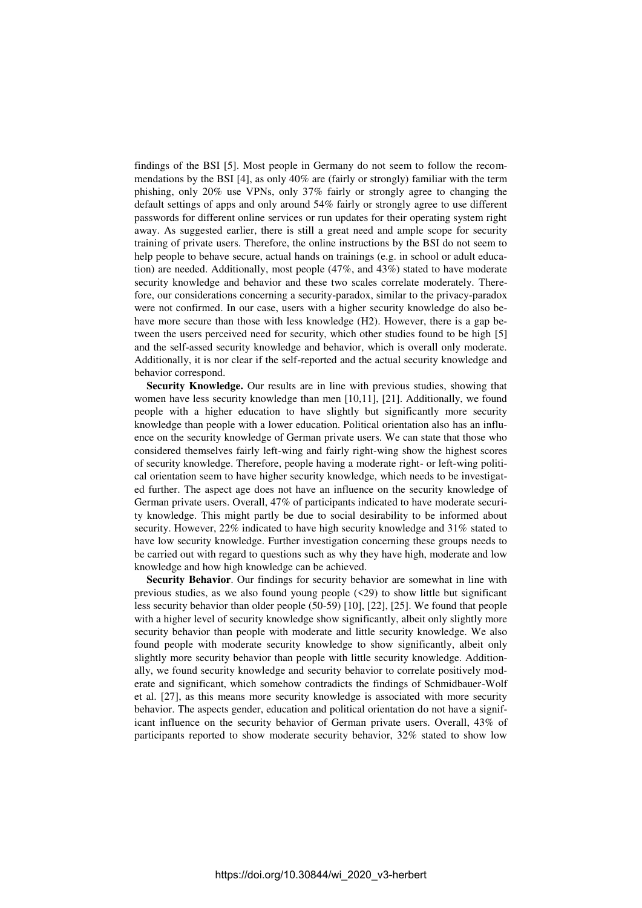findings of the BSI [5]. Most people in Germany do not seem to follow the recommendations by the BSI [4], as only 40% are (fairly or strongly) familiar with the term phishing, only 20% use VPNs, only 37% fairly or strongly agree to changing the default settings of apps and only around 54% fairly or strongly agree to use different passwords for different online services or run updates for their operating system right away. As suggested earlier, there is still a great need and ample scope for security training of private users. Therefore, the online instructions by the BSI do not seem to help people to behave secure, actual hands on trainings (e.g. in school or adult education) are needed. Additionally, most people (47%, and 43%) stated to have moderate security knowledge and behavior and these two scales correlate moderately. Therefore, our considerations concerning a security-paradox, similar to the privacy-paradox were not confirmed. In our case, users with a higher security knowledge do also behave more secure than those with less knowledge (H2). However, there is a gap between the users perceived need for security, which other studies found to be high [5] and the self-assed security knowledge and behavior, which is overall only moderate. Additionally, it is nor clear if the self-reported and the actual security knowledge and behavior correspond.

**Security Knowledge.** Our results are in line with previous studies, showing that women have less security knowledge than men [10,11], [21]. Additionally, we found people with a higher education to have slightly but significantly more security knowledge than people with a lower education. Political orientation also has an influence on the security knowledge of German private users. We can state that those who considered themselves fairly left-wing and fairly right-wing show the highest scores of security knowledge. Therefore, people having a moderate right- or left-wing political orientation seem to have higher security knowledge, which needs to be investigated further. The aspect age does not have an influence on the security knowledge of German private users. Overall, 47% of participants indicated to have moderate security knowledge. This might partly be due to social desirability to be informed about security. However, 22% indicated to have high security knowledge and 31% stated to have low security knowledge. Further investigation concerning these groups needs to be carried out with regard to questions such as why they have high, moderate and low knowledge and how high knowledge can be achieved.

**Security Behavior**. Our findings for security behavior are somewhat in line with previous studies, as we also found young people  $(\leq 29)$  to show little but significant less security behavior than older people (50-59) [10], [22], [25]. We found that people with a higher level of security knowledge show significantly, albeit only slightly more security behavior than people with moderate and little security knowledge. We also found people with moderate security knowledge to show significantly, albeit only slightly more security behavior than people with little security knowledge. Additionally, we found security knowledge and security behavior to correlate positively moderate and significant, which somehow contradicts the findings of Schmidbauer-Wolf et al. [27], as this means more security knowledge is associated with more security behavior. The aspects gender, education and political orientation do not have a significant influence on the security behavior of German private users. Overall, 43% of participants reported to show moderate security behavior, 32% stated to show low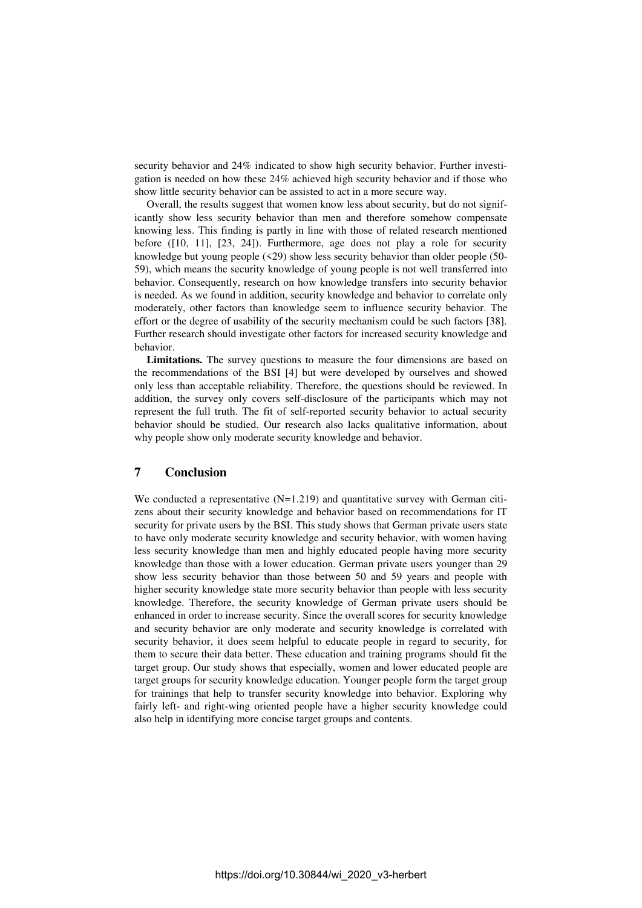security behavior and 24% indicated to show high security behavior. Further investigation is needed on how these 24% achieved high security behavior and if those who show little security behavior can be assisted to act in a more secure way.

Overall, the results suggest that women know less about security, but do not significantly show less security behavior than men and therefore somehow compensate knowing less. This finding is partly in line with those of related research mentioned before ([10, 11], [23, 24]). Furthermore, age does not play a role for security knowledge but young people (<29) show less security behavior than older people (50- 59), which means the security knowledge of young people is not well transferred into behavior. Consequently, research on how knowledge transfers into security behavior is needed. As we found in addition, security knowledge and behavior to correlate only moderately, other factors than knowledge seem to influence security behavior. The effort or the degree of usability of the security mechanism could be such factors [38]. Further research should investigate other factors for increased security knowledge and behavior.

**Limitations.** The survey questions to measure the four dimensions are based on the recommendations of the BSI [4] but were developed by ourselves and showed only less than acceptable reliability. Therefore, the questions should be reviewed. In addition, the survey only covers self-disclosure of the participants which may not represent the full truth. The fit of self-reported security behavior to actual security behavior should be studied. Our research also lacks qualitative information, about why people show only moderate security knowledge and behavior.

## **7 Conclusion**

We conducted a representative (N=1.219) and quantitative survey with German citizens about their security knowledge and behavior based on recommendations for IT security for private users by the BSI. This study shows that German private users state to have only moderate security knowledge and security behavior, with women having less security knowledge than men and highly educated people having more security knowledge than those with a lower education. German private users younger than 29 show less security behavior than those between 50 and 59 years and people with higher security knowledge state more security behavior than people with less security knowledge. Therefore, the security knowledge of German private users should be enhanced in order to increase security. Since the overall scores for security knowledge and security behavior are only moderate and security knowledge is correlated with security behavior, it does seem helpful to educate people in regard to security, for them to secure their data better. These education and training programs should fit the target group. Our study shows that especially, women and lower educated people are target groups for security knowledge education. Younger people form the target group for trainings that help to transfer security knowledge into behavior. Exploring why fairly left- and right-wing oriented people have a higher security knowledge could also help in identifying more concise target groups and contents.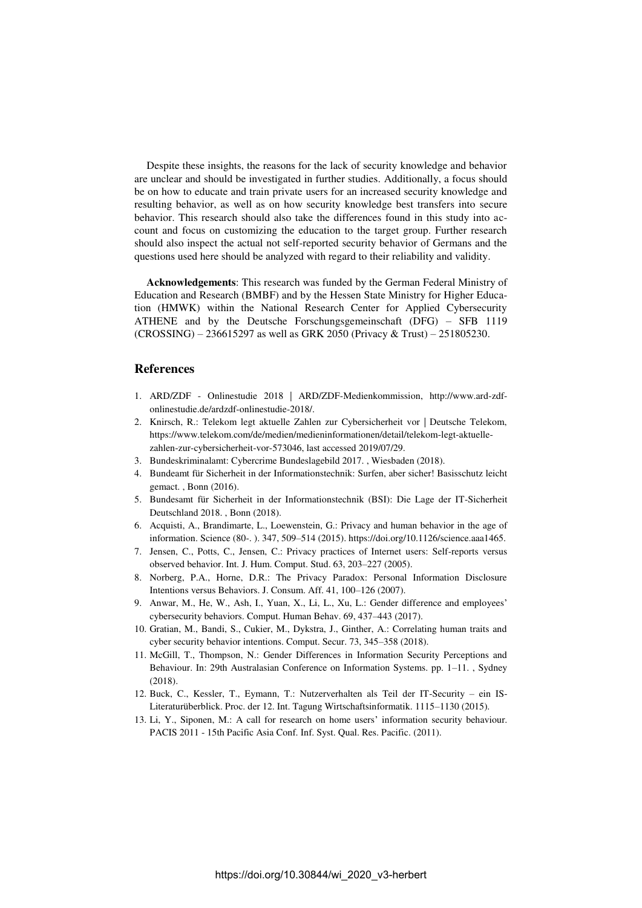Despite these insights, the reasons for the lack of security knowledge and behavior are unclear and should be investigated in further studies. Additionally, a focus should be on how to educate and train private users for an increased security knowledge and resulting behavior, as well as on how security knowledge best transfers into secure behavior. This research should also take the differences found in this study into account and focus on customizing the education to the target group. Further research should also inspect the actual not self-reported security behavior of Germans and the questions used here should be analyzed with regard to their reliability and validity.

**Acknowledgements**: This research was funded by the German Federal Ministry of Education and Research (BMBF) and by the Hessen State Ministry for Higher Education (HMWK) within the National Research Center for Applied Cybersecurity ATHENE and by the Deutsche Forschungsgemeinschaft (DFG) – SFB 1119 (CROSSING) – 236615297 as well as GRK 2050 (Privacy & Trust) – 251805230.

#### **References**

- 1. ARD/ZDF Onlinestudie 2018 | ARD/ZDF-Medienkommission, http://www.ard-zdfonlinestudie.de/ardzdf-onlinestudie-2018/.
- 2. Knirsch, R.: Telekom legt aktuelle Zahlen zur Cybersicherheit vor | Deutsche Telekom, https://www.telekom.com/de/medien/medieninformationen/detail/telekom-legt-aktuellezahlen-zur-cybersicherheit-vor-573046, last accessed 2019/07/29.
- 3. Bundeskriminalamt: Cybercrime Bundeslagebild 2017. , Wiesbaden (2018).
- 4. Bundeamt für Sicherheit in der Informationstechnik: Surfen, aber sicher! Basisschutz leicht gemact. , Bonn (2016).
- 5. Bundesamt für Sicherheit in der Informationstechnik (BSI): Die Lage der IT-Sicherheit Deutschland 2018. , Bonn (2018).
- 6. Acquisti, A., Brandimarte, L., Loewenstein, G.: Privacy and human behavior in the age of information. Science (80-. ). 347, 509–514 (2015). https://doi.org/10.1126/science.aaa1465.
- 7. Jensen, C., Potts, C., Jensen, C.: Privacy practices of Internet users: Self-reports versus observed behavior. Int. J. Hum. Comput. Stud. 63, 203–227 (2005).
- 8. Norberg, P.A., Horne, D.R.: The Privacy Paradox: Personal Information Disclosure Intentions versus Behaviors. J. Consum. Aff. 41, 100–126 (2007).
- 9. Anwar, M., He, W., Ash, I., Yuan, X., Li, L., Xu, L.: Gender difference and employees' cybersecurity behaviors. Comput. Human Behav. 69, 437–443 (2017).
- 10. Gratian, M., Bandi, S., Cukier, M., Dykstra, J., Ginther, A.: Correlating human traits and cyber security behavior intentions. Comput. Secur. 73, 345–358 (2018).
- 11. McGill, T., Thompson, N.: Gender Differences in Information Security Perceptions and Behaviour. In: 29th Australasian Conference on Information Systems. pp. 1–11. , Sydney (2018).
- 12. Buck, C., Kessler, T., Eymann, T.: Nutzerverhalten als Teil der IT-Security ein IS-Literaturüberblick. Proc. der 12. Int. Tagung Wirtschaftsinformatik. 1115–1130 (2015).
- 13. Li, Y., Siponen, M.: A call for research on home users' information security behaviour. PACIS 2011 - 15th Pacific Asia Conf. Inf. Syst. Qual. Res. Pacific. (2011).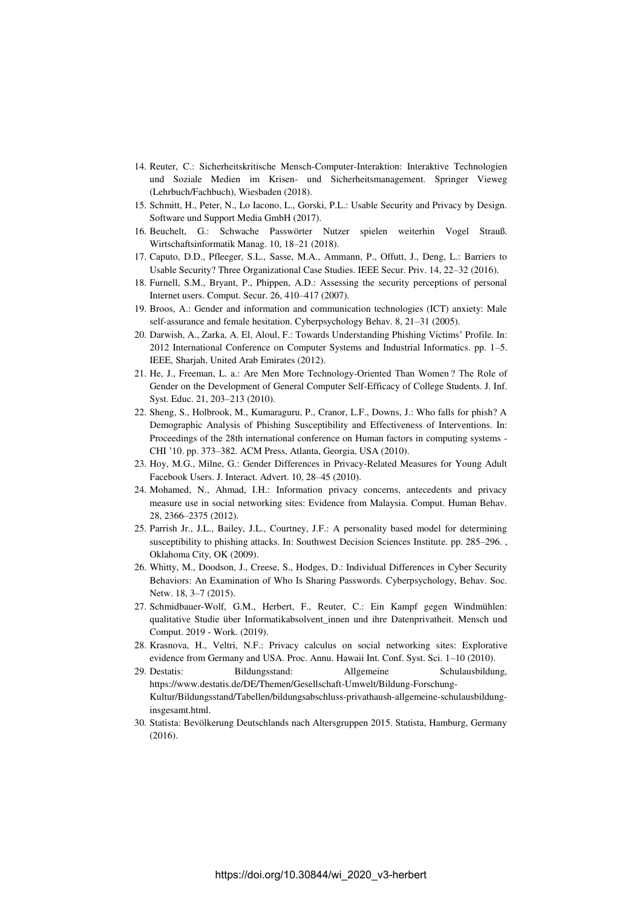- 14. Reuter, C.: Sicherheitskritische Mensch-Computer-Interaktion: Interaktive Technologien und Soziale Medien im Krisen- und Sicherheitsmanagement. Springer Vieweg (Lehrbuch/Fachbuch), Wiesbaden (2018).
- 15. Schmitt, H., Peter, N., Lo Iacono, L., Gorski, P.L.: Usable Security and Privacy by Design. Software und Support Media GmbH (2017).
- 16. Beuchelt, G.: Schwache Passwörter Nutzer spielen weiterhin Vogel Strauß. Wirtschaftsinformatik Manag. 10, 18–21 (2018).
- 17. Caputo, D.D., Pfleeger, S.L., Sasse, M.A., Ammann, P., Offutt, J., Deng, L.: Barriers to Usable Security? Three Organizational Case Studies. IEEE Secur. Priv. 14, 22–32 (2016).
- 18. Furnell, S.M., Bryant, P., Phippen, A.D.: Assessing the security perceptions of personal Internet users. Comput. Secur. 26, 410–417 (2007).
- 19. Broos, A.: Gender and information and communication technologies (ICT) anxiety: Male self-assurance and female hesitation. Cyberpsychology Behav. 8, 21–31 (2005).
- 20. Darwish, A., Zarka, A. El, Aloul, F.: Towards Understanding Phishing Victims' Profile. In: 2012 International Conference on Computer Systems and Industrial Informatics. pp. 1–5. IEEE, Sharjah, United Arab Emirates (2012).
- 21. He, J., Freeman, L. a.: Are Men More Technology-Oriented Than Women ? The Role of Gender on the Development of General Computer Self-Efficacy of College Students. J. Inf. Syst. Educ. 21, 203–213 (2010).
- 22. Sheng, S., Holbrook, M., Kumaraguru, P., Cranor, L.F., Downs, J.: Who falls for phish? A Demographic Analysis of Phishing Susceptibility and Effectiveness of Interventions. In: Proceedings of the 28th international conference on Human factors in computing systems - CHI '10. pp. 373–382. ACM Press, Atlanta, Georgia, USA (2010).
- 23. Hoy, M.G., Milne, G.: Gender Differences in Privacy-Related Measures for Young Adult Facebook Users. J. Interact. Advert. 10, 28–45 (2010).
- 24. Mohamed, N., Ahmad, I.H.: Information privacy concerns, antecedents and privacy measure use in social networking sites: Evidence from Malaysia. Comput. Human Behav. 28, 2366–2375 (2012).
- 25. Parrish Jr., J.L., Bailey, J.L., Courtney, J.F.: A personality based model for determining susceptibility to phishing attacks. In: Southwest Decision Sciences Institute. pp. 285–296. , Oklahoma City, OK (2009).
- 26. Whitty, M., Doodson, J., Creese, S., Hodges, D.: Individual Differences in Cyber Security Behaviors: An Examination of Who Is Sharing Passwords. Cyberpsychology, Behav. Soc. Netw. 18, 3–7 (2015).
- 27. Schmidbauer-Wolf, G.M., Herbert, F., Reuter, C.: Ein Kampf gegen Windmühlen: qualitative Studie über Informatikabsolvent\_innen und ihre Datenprivatheit. Mensch und Comput. 2019 - Work. (2019).
- 28. Krasnova, H., Veltri, N.F.: Privacy calculus on social networking sites: Explorative evidence from Germany and USA. Proc. Annu. Hawaii Int. Conf. Syst. Sci. 1–10 (2010).
- 29. Destatis: Bildungsstand: Allgemeine Schulausbildung, https://www.destatis.de/DE/Themen/Gesellschaft-Umwelt/Bildung-Forschung-Kultur/Bildungsstand/Tabellen/bildungsabschluss-privathaush-allgemeine-schulausbildunginsgesamt.html.
- 30. Statista: Bevölkerung Deutschlands nach Altersgruppen 2015. Statista, Hamburg, Germany (2016).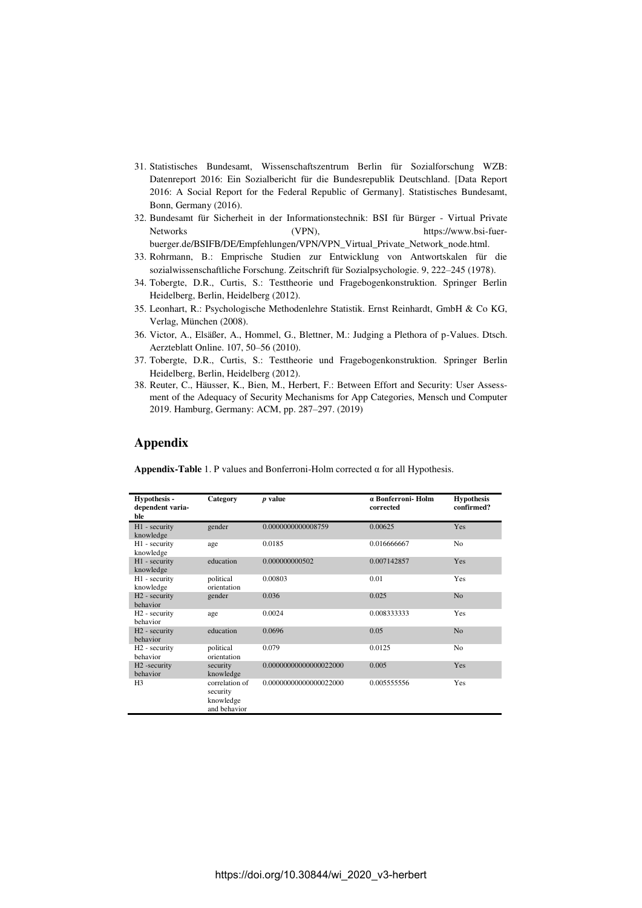- 31. Statistisches Bundesamt, Wissenschaftszentrum Berlin für Sozialforschung WZB: Datenreport 2016: Ein Sozialbericht für die Bundesrepublik Deutschland. [Data Report 2016: A Social Report for the Federal Republic of Germany]. Statistisches Bundesamt, Bonn, Germany (2016).
- 32. Bundesamt für Sicherheit in der Informationstechnik: BSI für Bürger Virtual Private Networks (VPN), https://www.bsi-fuerbuerger.de/BSIFB/DE/Empfehlungen/VPN/VPN\_Virtual\_Private\_Network\_node.html.
- 33. Rohrmann, B.: Emprische Studien zur Entwicklung von Antwortskalen für die sozialwissenschaftliche Forschung. Zeitschrift für Sozialpsychologie. 9, 222–245 (1978).
- 34. Tobergte, D.R., Curtis, S.: Testtheorie und Fragebogenkonstruktion. Springer Berlin Heidelberg, Berlin, Heidelberg (2012).
- 35. Leonhart, R.: Psychologische Methodenlehre Statistik. Ernst Reinhardt, GmbH & Co KG, Verlag, München (2008).
- 36. Victor, A., Elsäßer, A., Hommel, G., Blettner, M.: Judging a Plethora of p-Values. Dtsch. Aerzteblatt Online. 107, 50–56 (2010).
- 37. Tobergte, D.R., Curtis, S.: Testtheorie und Fragebogenkonstruktion. Springer Berlin Heidelberg, Berlin, Heidelberg (2012).
- 38. Reuter, C., Häusser, K., Bien, M., Herbert, F.: Between Effort and Security: User Assessment of the Adequacy of Security Mechanisms for App Categories, Mensch und Computer 2019. Hamburg, Germany: ACM, pp. 287–297. (2019)

## **Appendix**

**Appendix-Table** 1. P values and Bonferroni-Holm corrected α for all Hypothesis.

| Hypothesis -<br>dependent varia-<br>ble | Category                                                | p value                | a Bonferroni- Holm<br>corrected | <b>Hypothesis</b><br>confirmed? |
|-----------------------------------------|---------------------------------------------------------|------------------------|---------------------------------|---------------------------------|
| H1 - security<br>knowledge              | gender                                                  | 0.0000000000008759     | 0.00625                         | Yes                             |
| H1 - security<br>knowledge              | age                                                     | 0.0185                 | 0.016666667                     | N <sub>0</sub>                  |
| H1 - security<br>knowledge              | education                                               | 0.000000000502         | 0.007142857                     | <b>Yes</b>                      |
| H1 - security<br>knowledge              | political<br>orientation                                | 0.00803                | 0.01                            | Yes                             |
| H <sub>2</sub> - security<br>behavior   | gender                                                  | 0.036                  | 0.025                           | No                              |
| H <sub>2</sub> - security<br>behavior   | age                                                     | 0.0024                 | 0.008333333                     | Yes                             |
| H <sub>2</sub> - security<br>behavior   | education                                               | 0.0696                 | 0.05                            | N <sub>o</sub>                  |
| H <sub>2</sub> - security<br>hehavior   | political<br>orientation                                | 0.079                  | 0.0125                          | N <sub>0</sub>                  |
| H <sub>2</sub> -security<br>behavior    | security<br>knowledge                                   | 0.00000000000000022000 | 0.005                           | Yes                             |
| H <sub>3</sub>                          | correlation of<br>security<br>knowledge<br>and behavior | 0.00000000000000022000 | 0.005555556                     | Yes                             |